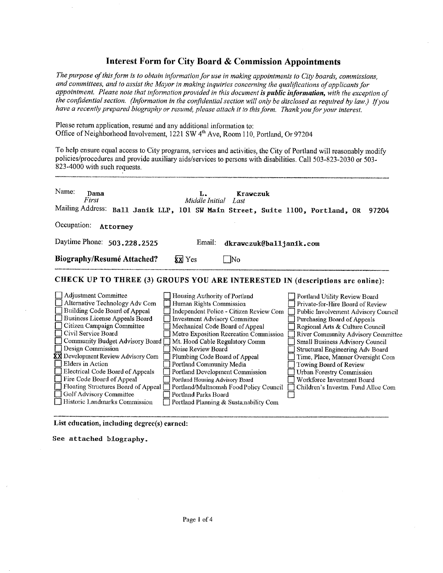# **Interest Form for City Board & Commission Appointments**

The purpose of this form is to obtain information for use in making appointments to City boards, commissions, and committees, and to assist the Mayor in making inquiries concerning the qualifications of applicants for appointment. Please note that information provided in this document is public information, with the exception of the confidential section. (Information in the confidential section will only be disclosed as required by law.) If you have a recently prepared biography or resumé, please attach it to this form. Thank you for your interest.

Please return application, resumé and any additional information to: Office of Neighborhood Involvement, 1221 SW 4<sup>th</sup> Ave, Room 110, Portland, Or 97204

To help ensure equal access to City programs, services and activities, the City of Portland will reasonably modify policies/procedures and provide auxiliary aids/services to persons with disabilities. Call 503-823-2030 or 503-823-4000 with such requests.

| Name:<br>Dana<br>First            |                                                                               | Middle Initial Last | Krawczuk |                         |       |
|-----------------------------------|-------------------------------------------------------------------------------|---------------------|----------|-------------------------|-------|
|                                   | Mailing Address: Ball Janik LLP, 101 SW Main Street, Suite 1100, Portland, OR |                     |          |                         | 97204 |
| Occupation:                       | Attorney                                                                      |                     |          |                         |       |
| Daytime Phone: 503.228.2525       |                                                                               | Email:              |          | dkrawczuk@balljanik.com |       |
| <b>Biography/Resumé Attached?</b> |                                                                               | <b>XX</b> Yes       | - No     |                         |       |
|                                   | CHECK UP TO THREE (3) GROUPS YOU ARE INTERESTED IN (descriptions are online): |                     |          |                         |       |

| Adjustment Committee                | Housing Authority of Portland           | Portland Utility Review Board       |
|-------------------------------------|-----------------------------------------|-------------------------------------|
| Alternative Technology Adv Com      | Human Rights Commission                 | Private-for-Hire Board of Review    |
| Building Code Board of Appeal       | Independent Police - Citizen Review Com | Public Involvement Advisory Council |
| Business License Appeals Board      | <b>Investment Advisory Committee</b>    | Purchasing Board of Appeals         |
| Citizen Campaign Committee          | Mechanical Code Board of Appeal         | Regional Arts & Culture Council     |
| Civil Service Board                 | Metro Exposition Recreation Commission  | River Community Advisory Committee  |
| Community Budget Advisory Board [   | Mt. Hood Cable Regulatory Comm          | Small Business Advisory Council     |
| Design Commission                   | Noise Review Board                      | Structural Engineering Adv Board    |
| XX Development Review Advisory Com  | Plumbing Code Board of Appeal           | Time, Place, Manner Oversight Com   |
| <b>Elders in Action</b>             | Portland Community Media                | Towing Board of Review              |
| Electrical Code Board of Appeals    | Portland Development Commission         | <b>Urban Forestry Commission</b>    |
| Fire Code Board of Appeal           | Portland Housing Advisory Board         | Workforce Investment Board          |
| Floating Structures Board of Appeal | Portland/Multnomah Food Policy Council  | Children's Investm. Fund Alloc Com  |
| Golf Advisory Committee             | Portland Parks Board                    |                                     |
| Historic Landmarks Commission       | Portland Planning & Sustainability Com  |                                     |

List education, including degree(s) earned:

See attached biography.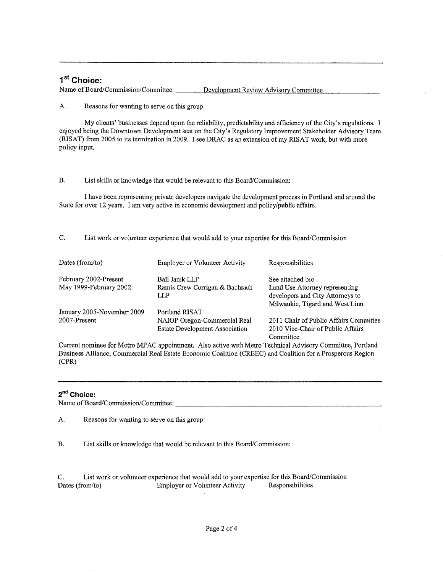# 1<sup>st</sup> Choice:

Name of Board/Commission/Committee: Development Review Advisory Committee

A. Reasons for wanting to serve on this group:

My clients' businesses depend upon the reliability, predictability and efficiency of the City's regulations. I enjoyed being the Downtown Development seat on the City's Regulatory Improvement Stakeholder Advisory Team (RISAT) from 2005 to its termination in 2009. I see DRAC as an extension of my RISAT work, but with more policy input.

#### $B<sub>1</sub>$ List skills or knowledge that would be relevant to this Board/Commission:

I have been representing private developers navigate the development process in Portland and around the State for over 12 years. I am very active in economic development and policy/public affairs.

#### C. List work or volunteer experience that would add to your expertise for this Board/Commission

| Dates (from/to)            | <b>Employer or Volunteer Activity</b>  | Responsibilities                                                                                      |
|----------------------------|----------------------------------------|-------------------------------------------------------------------------------------------------------|
| February 2002-Present      | Ball Janik LLP                         | See attached bio                                                                                      |
| May 1999-February 2002     | Ramis Crew Corrigan & Bachrach<br>LL P | Land Use Attorney representing<br>developers and City Attorneys to<br>Milwaukie, Tigard and West Linn |
| January 2005-November 2009 | Portland RISAT                         |                                                                                                       |
| 2007-Present               | NAIOP Oregon-Commercial Real           | 2011 Chair of Public Affairs Committee                                                                |
|                            | <b>Estate Development Association</b>  | 2010 Vice-Chair of Public Affairs<br>Committee                                                        |

Current nominee for Metro MPAC appointment. Also active with Metro Technical Advisory Committee, Portland Business Alliance, Commercial Real Estate Economic Coalition (CREEC) and Coalition for a Prosperous Region  $(CPR)$ 

# 2<sup>nd</sup> Choice:

Name of Board/Commission/Committee:

A. Reasons for wanting to serve on this group:

 $B<sub>r</sub>$ List skills or knowledge that would be relevant to this Board/Commission:

List work or volunteer experience that would add to your expertise for this Board/Commission  $C_{\cdot}$ Dates (from/to) **Employer or Volunteer Activity** Responsibilities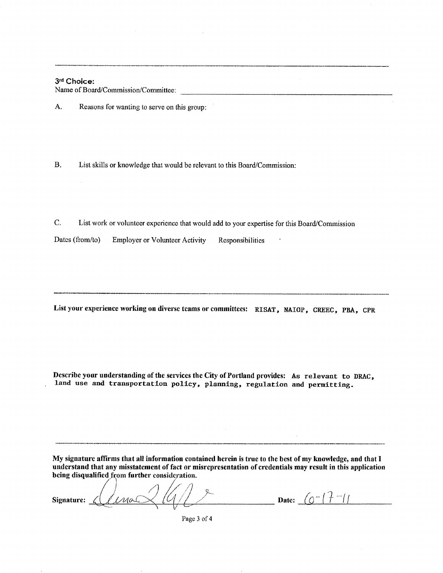# 3rd Choice:

Name of Board/Commission/Committee:

A. Reasons for wanting to serve on this group:

 $B.$ List skills or knowledge that would be relevant to this Board/Commission:

C. List work or volunteer experience that would add to your expertise for this Board/Commission

Dates (from/to) **Employer or Volunteer Activity** Responsibilities

List your experience working on diverse teams or committees: RISAT, NAIOP, CREEC, PBA, CPR

Describe your understanding of the services the City of Portland provides: As relevant to DRAC, land use and transportation policy, planning, regulation and permitting.

My signature affirms that all information contained herein is true to the best of my knowledge, and that I understand that any misstatement of fact or misrepresentation of credentials may result in this application being disqualified from further consideration.

Linas Signature:  $\measuredangle$ 

**Date:**  $(0^{-17} - 1)$ 

Page 3 of 4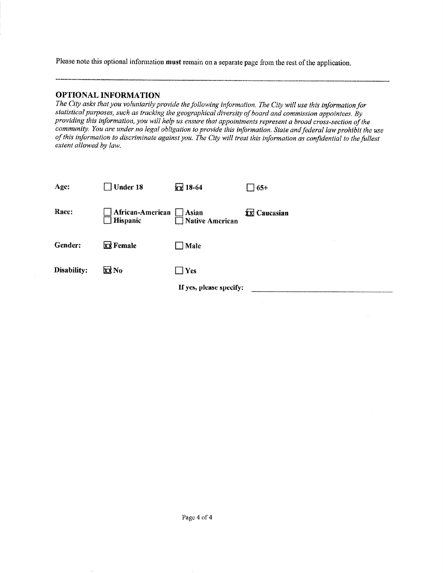Please note this optional information must remain on a separate page from the rest of the application.

# **OPTIONAL INFORMATION**

The City asks that you voluntarily provide the following information. The City will use this information for statistical purposes, such as tracking the geographical diversity of board and commission appointees. By providing this information, you will help us ensure that appointments represent a broad cross-section of the community. You are under no legal obligation to provide this information. State and federal law prohibit the use of this information to discriminate against you. The City will treat this information as confidential to the fullest extent allowed by law.

| Age:        | $\Box$ Under 18                                           | $\sqrt{2}$ 18-64        | $\Box$ 65+   |
|-------------|-----------------------------------------------------------|-------------------------|--------------|
| Race:       | African-American Asian<br>Hispanic <b>Native American</b> |                         | XX Caucasian |
| Gender:     | <b>XX</b> Female                                          | Male                    |              |
| Disability: | XX No                                                     | $\Box$ Yes              |              |
|             |                                                           | If yes, please specify: |              |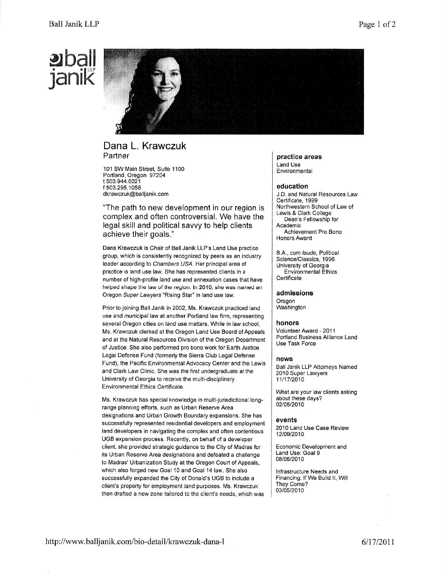# **WDall** 3ænxåK



# Dana L. Krawczuk Partner

101 SW Main Street, Suite 1100 Portland, Oregon 97204 t 503.944.6021 f 503.295.1058 dkrawczuk@balljanik. com

"The path to new development in our region is complex and often controversial. We have the legal skill and political savvy to help clients achieve their goals."

Dana Krawczuk ls Chair of Ball Janik LLP's Land Use practice group, which is consistently recognized by peers as an industry leader according to Chambers USA. Her principal area of practice is land use law. She has represented clients in a number of high-profile land use and annexation cases that have helped shape the law of the region. ln 2010, shewas named an Oregon Super Lawyers "Rising Star" in land use law,

Prior to joining Ball Janik in 2002, Ms. Krawczuk practiced land use and municipal law at another Portland law firm, representing several Oregon cities on land use matters. Whìle in law school, Ms. Krawczuk clerked at the Oregon Land Use Board of Appeals and at the Natural Resources Division of the Oregon Department of Justice, She also performed pro bono work for Earth Justice Legal Defense Fund (formerly the Sierra Club Legal Defense Fund), the Pacífic Environmental Advocacy Center and the Lewis and Clark Law Clinic. She was the first undergraduate at the University of Georgia to receive the muìti-disciplinary Environmental Ethics Certificate.

Ms, Krawczuk has special knowledge in multi-jurisdictional longrange planning efforts, such as Urban Reserve Area designations and Urban Growth Boundary expansions. She has successfully represented residential developers and employment land developers in navigating the complex and often contentious UGB expansion process, Recently, on behalf of a developer client, she provided strategic guidance to the City of Madras for its Urban Reserve Area designations and defeated a challenge to Madras' Urbanization Study at the Oregon Court of Appeals, which also forged new Goal 10 and Goal 14 law. She also successfully expanded the City of Donald's UGB to include a client's property for employment land purposes. Ms. Krawczuk then drafted a new zone tailored to the client's needs, which was

practice areas Land Use Environmental

### education

J.D, and Natural Resources Law Certificate, 1999 Northwestern School of Law of Lewls & Clark College Dean's Fellowship for **Academic** Achievement Pro Bono Honors Award

8,A., cum /aude, Political Science/Classics, 1996 University of Georgia **Environmental Ethics** Certificate

admissions

Oregon Washington

#### honors

Volunteer Award - 2011 Portland Business Alliance Land Use Task Force

#### news

Ball Janik LLP Attorneys Named 2010 Super Lawyers 11/17/2010

What are your law clients asking about these days? 02/05/2010

#### events

2010 Land Use Case Review 12t0912010

Economic Development and Land Use: Goal 9 08/05/2010

lnfrastructure Needs and Financing: lf We Build lt, Will They Gome? 03/05/2010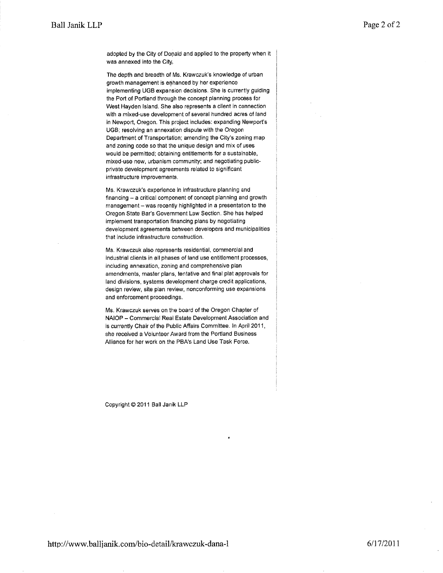adopted by the City of Donald and applied to the property when it was annexed into the City.

The depth and breadth of Ms. Krawczuk's knowledge of urban growth management is enhanced by her experlence implementing UGB expansion decisions. She is currently guiding the Port of Portland through the concept planning process for West Hayden Island. She also represents a client in connection with a mixed-use development of several hundred acres of land in Newport, Oregon. Thls project includes: expanding Newport's UGB; resolving an annexation dispute with the Oregon Department of Transportation; amending the City's zoning map and zoning code so that the unique design and mix of uses would be permitted; obtaining entitlements for a sustaìnable, mixed-use new, urbanism community: and negotiating publicprivate development agreements related to signifìcant infrastructure improvements.

Ms. Krawczuk's experlence in infrastructure planning and financing - a critical component of concept planning and growth management - was recently highlighted in a presentation to the Oregon State Bar's Government Law Section, She has helped implement transportation financing plans by negotiating development agreements between developers and municipalities that include infrastructure construction,

Ms. Krawczuk also represents residential, commercial and lndustrial clients in all phases of land use entitlement processes, including annexation, zoning and comprehensive plan amendments, master plans, tentative and final plat approvals for land divisions, systems development charge credit applications, design revlew, site plan review, nonconforming use expansions and enforcement proceedings.

Ms. Krawczuk serves on the board of the Oregon Chapter of NAIOP - Commercial Real Estate Development Association and is currently Chair of the Public Affairs Committee. In April 2011, she received a Volunteer Award from the Portland Business Alliance for her work on the PBA's Land Use Task Force.

Copyright @ 2011 Ball Janik LLP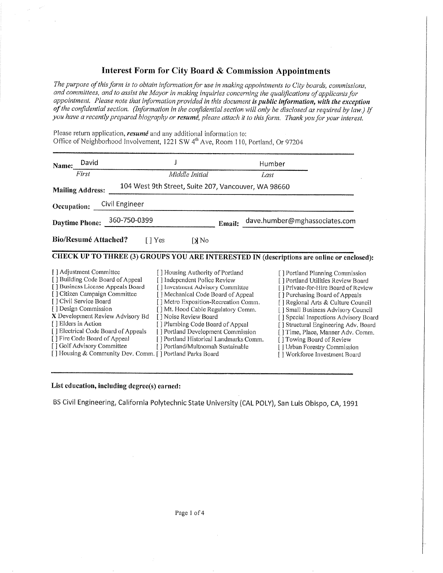# **Interest Form for City Board & Commission Appointments**

The purpose of this form is to obtain information for use in making appointments to City boards, commissions, and committees, and to assist the Mayor in making inquiries concerning the qualifications of applicants for appointment. Please note that information provided in this document is public information, with the exception of the confidential section. (Information in the confidential section will only be disclosed as required by law.) If you have a recently prepared biography or resume, please attach it to this form. Thank you for your interest.

|  | Please return application, <i>resumé</i> and any additional information to:                   |  |
|--|-----------------------------------------------------------------------------------------------|--|
|  | Office of Neighborhood Involvement, 1221 SW 4 <sup>th</sup> Ave, Room 110, Portland, Or 97204 |  |

| David<br>Name:<br>First                                               | Middle Initial                                                         | Humber<br>Last                                                                            |
|-----------------------------------------------------------------------|------------------------------------------------------------------------|-------------------------------------------------------------------------------------------|
|                                                                       | 104 West 9th Street, Suite 207, Vancouver, WA 98660                    |                                                                                           |
| <b>Mailing Address:</b>                                               |                                                                        |                                                                                           |
| Civil Engineer<br>Occupation:                                         |                                                                        |                                                                                           |
| Daytime Phone: 360-750-0399                                           |                                                                        | dave.humber@mghassociates.com<br>Email:                                                   |
| <b>Bio/Resumé Attached?</b>                                           | $\Box$ Yes<br>[X No                                                    |                                                                                           |
|                                                                       |                                                                        | CHECK UP TO THREE (3) GROUPS YOU ARE INTERESTED IN (descriptions are online or enclosed): |
| [] Adjustment Committee                                               | [ ] Housing Authority of Portland                                      | [] Portland Planning Commission                                                           |
| [] Building Code Board of Appeal<br>[] Business License Appeals Board | [] Independent Police Review                                           | [] Portland Utilities Review Board                                                        |
| [] Citizen Campaign Committee                                         | [] Investment Advisory Committee<br>[] Mechanical Code Board of Appeal | [] Private-for-Hire Board of Review<br>[] Purchasing Board of Appeals                     |
| [] Civil Service Board                                                | [] Metro Exposition-Recreation Comm.                                   | [] Regional Arts & Culture Council                                                        |
| [] Design Commission                                                  | [] Mt. Hood Cable Regulatory Comm.                                     | [] Small Business Advisory Council                                                        |
| X Development Review Advisory Bd                                      | [] Noise Review Board                                                  | [ ] Special Inspections Advisory Board                                                    |
| [ ] Elders in Action                                                  | [] Plumbing Code Board of Appeal                                       | [] Structural Engineering Adv. Board                                                      |
| [] Electrical Code Board of Appeals                                   | [] Portland Development Commission                                     | [] Time, Place, Manner Adv. Comm.                                                         |
| [] Fire Code Board of Appeal                                          | [] Portland Historical Landmarks Comm.                                 | [] Towing Board of Review                                                                 |
| [] Golf Advisory Committee                                            | [] Portland/Multnomah Sustainable                                      | [] Urban Forestry Commission                                                              |
| [] Housing & Community Dev. Comm. [] Portland Parks Board             |                                                                        | [] Workforce Investment Board                                                             |

# List education, including degree(s) earned:

BS Civil Engineering, California Polytechnic State University (CAL POLY), San Luis Obispo, CA, 1991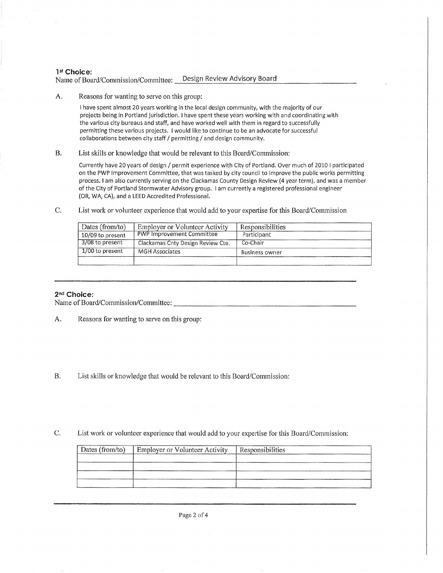### 1st Choice:

Name of Board/Commission/Committee: Design Review Advisory Board

A. Reasons for wanting to serve on this group:

I have spent almost 20 years working in the local design community, with the majority of our projects being in Portland jurisdiction, I have spent these years working with and coordinating with the various city bureaus and staff, and have worked well with them in regard to successfully permittlng these various projects. I would like to continue to be an advocate for successful collaborations between city staff / permittlng / and design community.

B. List skills or knowledge that would be relevant to this Board/Commission:

Currently have 20 years of design / permit experience with City of Portland. Over much of 2010 I participated on the PWP lmprovement Committee, that was tasked by city council to improve the public works permitting process, I am also currently serving on the Clackamas County Design Review (4 year term), and was a member of the City of Portland Stormwater Advisory group. I am currently a registered professional engineer (OR, WA, CA), and a LEED Accredited Professional,

C. List work or volunteer experience that would add to your expertise for this Board/Commission

| Dates (from/to)   | <b>Employer or Volunteer Activity</b> | Responsibilities |
|-------------------|---------------------------------------|------------------|
| 10/09 to present  | <b>PWP Improvement Committee</b>      | Participant      |
| 3/08 to present   | Clackamas Cnty Design Review Cte.     | Co-Chair         |
| $1/00$ to present | <b>MGH Associates</b>                 | Business owner   |
|                   |                                       |                  |

## 2nd Choice:

Name of Board/Commission/Committee:

- A. Reasons for wanting to serve on this group:
- B. List skills or knowledge that would be relevant to this Board/Commission:
- C. List work or volunteer experience that would add to your expertise for this Board/Commission:

| Dates (from/to) | Employer or Volunteer Activity | Responsibilities |
|-----------------|--------------------------------|------------------|
|                 |                                |                  |
|                 |                                |                  |
|                 |                                |                  |
|                 |                                |                  |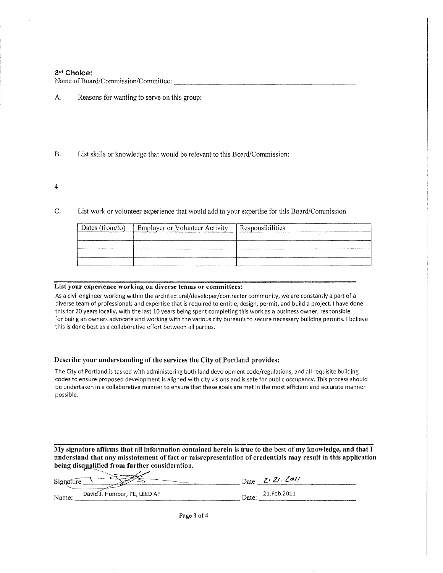#### 3rd Choice:

Name of Board/Commission/Committee:

- A. Reasons for wanting to serve on this group:
- **B.** List skills or knowledge that would be relevant to this Board/Commission:
- $\overline{4}$
- C. List work or volunteer experience that would add to your expertise for this Board/Commission

| Dates (from/to) | Employer or Volunteer Activity | Responsibilities |
|-----------------|--------------------------------|------------------|
|                 |                                |                  |
|                 |                                |                  |
|                 |                                |                  |
|                 |                                |                  |

#### List your experience working on diverse teams or committees:

مدحر

As a civil engineer working within the architectural/developer/contractor community, we are constantly a part of a diverse team of professionals and expertise that is required to entitle, design, permit, and build a project. I have done this for 20 years locally, with the last 10 years being spent completing this work as a business owner, responsible for being an owners advocate and working with the various city bureau's to secure necessary building permits. I believe this is done best as a collaborative effort between all parties.

#### Describe your understanding of the services the City of Portland provides:

The City of Portland is tasked with administering both land development code/regulations, and all requisite building codes to ensure proposed development is aligned with city visions and is safe for public occupancy. This process should be undertaken in a collaborative manner to ensure that these goals are met in the most efficient and accurate manner possible.

My signature affirms that all information contained herein is true to the best of my knowledge, and that I understand that any misstatement of fact or misrepresentation of credentials may result in this application being disqualified from further consideration.

| ________<br>$\sim$                          | <b>CONTRACTOR CONTRACTOR IN THE CONTRACTOR</b><br>na ang mga magaalan | Date  | 2.21.201'   |  |
|---------------------------------------------|-----------------------------------------------------------------------|-------|-------------|--|
| Total and a strategist state of the<br>Name | Davie J. Humber, PE, LEED AP                                          | Date. | 21.Feb.2011 |  |

Page 3 of 4